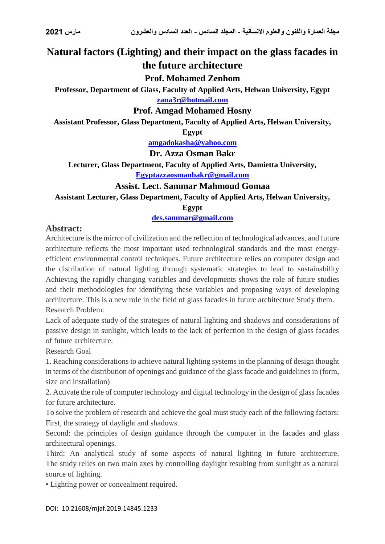# **Natural factors (Lighting) and their impact on the glass facades in the future architecture**

### **Prof. Mohamed Zenhom**

**Professor, Department of Glass, Faculty of Applied Arts, Helwan University, Egypt [zana3r@hotmail.com](mailto:zana3r@hotmail.com)**

#### **Prof. Amgad Mohamed Hosny**

**Assistant Professor, Glass Department, Faculty of Applied Arts, Helwan University,** 

**Egypt**

**[amgadokasha@yahoo.com](mailto:amgadokasha@yahoo.com)**

**Dr. Azza Osman Bakr**

**Lecturer, Glass Department, Faculty of Applied Arts, Damietta University,** 

**[Egyptazzaosmanbakr@gmail.com](mailto:Egyptazzaosmanbakr@gmail.com)**

#### **Assist. Lect. Sammar Mahmoud Gomaa**

**Assistant Lecturer, Glass Department, Faculty of Applied Arts, Helwan University,** 

**Egypt**

**[des.sammar@gmail.com](mailto:des.sammar@gmail.com)**

#### **Abstract:**

Architecture is the mirror of civilization and the reflection of technological advances, and future architecture reflects the most important used technological standards and the most energyefficient environmental control techniques. Future architecture relies on computer design and the distribution of natural lighting through systematic strategies to lead to sustainability Achieving the rapidly changing variables and developments shows the role of future studies and their methodologies for identifying these variables and proposing ways of developing architecture. This is a new role in the field of glass facades in future architecture Study them. Research Problem:

Lack of adequate study of the strategies of natural lighting and shadows and considerations of passive design in sunlight, which leads to the lack of perfection in the design of glass facades of future architecture.

Research Goal

1. Reaching considerations to achieve natural lighting systems in the planning of design thought in terms of the distribution of openings and guidance of the glass facade and guidelines in (form, size and installation)

2. Activate the role of computer technology and digital technology in the design of glass facades for future architecture.

To solve the problem of research and achieve the goal must study each of the following factors: First, the strategy of daylight and shadows.

Second: the principles of design guidance through the computer in the facades and glass architectural openings.

Third: An analytical study of some aspects of natural lighting in future architecture. The study relies on two main axes by controlling daylight resulting from sunlight as a natural source of lighting.

• Lighting power or concealment required.